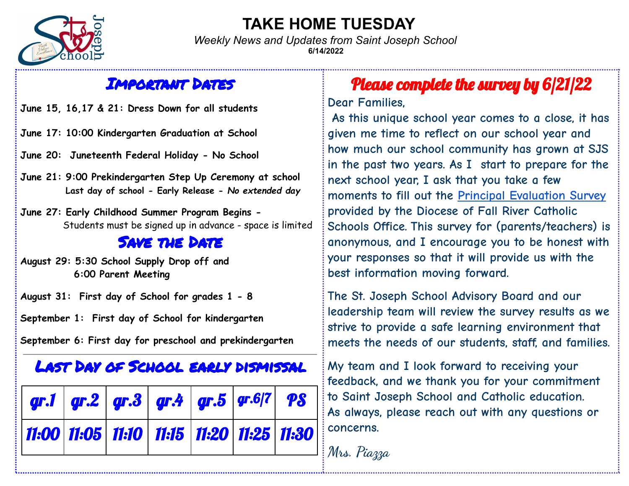

### **TAKE HOME TUESDAY**

*Weekly News and Updates from Saint Joseph School* **6/14/2022**

### Important Dates

**June 15, 16,17 & 21: Dress Down for all students**

- **June 17: 10:00 Kindergarten Graduation at School**
- **June 20: Juneteenth Federal Holiday No School**
- **June 21: 9:00 Prekindergarten Step Up Ceremony at school Last day of school - Early Release -** *No extended day*

**June 27: Early Childhood Summer Program Begins -** Students must be signed up in advance - space is limited

#### SAVE THE DATE

**August 29: 5:30 School Supply Drop off and 6:00 Parent Meeting**

**August 31: First day of School for grades 1 - 8**

**September 1: First day of School for kindergarten**

**September 6: First day for preschool and prekindergarten**

### Last Day of School early dismissal

| $\left  \bm{q} \bm{r}.\bm{1} \right $ $\left  \bm{q} \bm{r}.\bm{2} \right $ $\left  \bm{q} \bm{r}.\bm{3} \right $ $\left  \bm{q} \bm{r}.\bm{4} \right $ $\left  \bm{q} \bm{r}.\bm{5} \right $ $\left  \bm{q} \bm{r}.\bm{6}   \bm{7} \right $ $\left  \bm{p} \bm{S} \right $ |  |  |  |
|-----------------------------------------------------------------------------------------------------------------------------------------------------------------------------------------------------------------------------------------------------------------------------|--|--|--|
| 11:00 11:05 11:10 11:15 11:20 11:25 11:30                                                                                                                                                                                                                                   |  |  |  |

## Please complete the survey by 6/21/22

**Dear Families,**

**As this unique school year comes to a close, it has given me time to reflect on our school year and how much our school community has grown at SJS in the past two years. As I start to prepare for the next school year, I ask that you take a few moments to fill out the Principal [Evaluation](https://www.surveymonkey.com/r/PRINEVALPARENTS) Survey provided by the Diocese of Fall River Catholic Schools Office. This survey for (parents/teachers) is anonymous, and I encourage you to be honest with your responses so that it will provide us with the best information moving forward.**

**The St. Joseph School Advisory Board and our leadership team will review the survey results as we strive to provide a safe learning environment that meets the needs of our students, staff, and families.**

**My team and I look forward to receiving your feedback, and we thank you for your commitment to Saint Joseph School and Catholic education. As always, please reach out with any questions or concerns.**

**Mrs. Piazza**